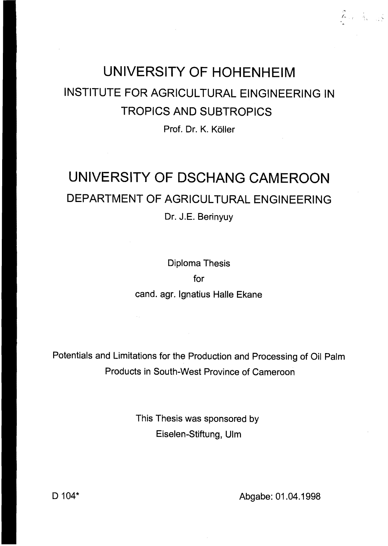## UNIVERSITY OF HOHENHEIM INSTITUTE FOR AGRICULTURAL EINGINEERING IN TROPICS AND SUBTROPICS

 $\mathcal{L}$  ,

Prof. Dr. K. Köller

## UNIVERSITY OF DSCHANG CAMEROON DEPARTMENT OF AGRICULTURAL ENGINEERING Dr. J.E. Berinyuy

Diploma Thesis for cand. agr. Ignatius Halle Ekane

Potentials and Limitations for the Production and Processing of Oil Palm Products in South-West Province of Cameroon

> This Thesis was sponsored by Eiselen-Stiftung, Ulm

D 104\* Abgabe: 01.04.1998